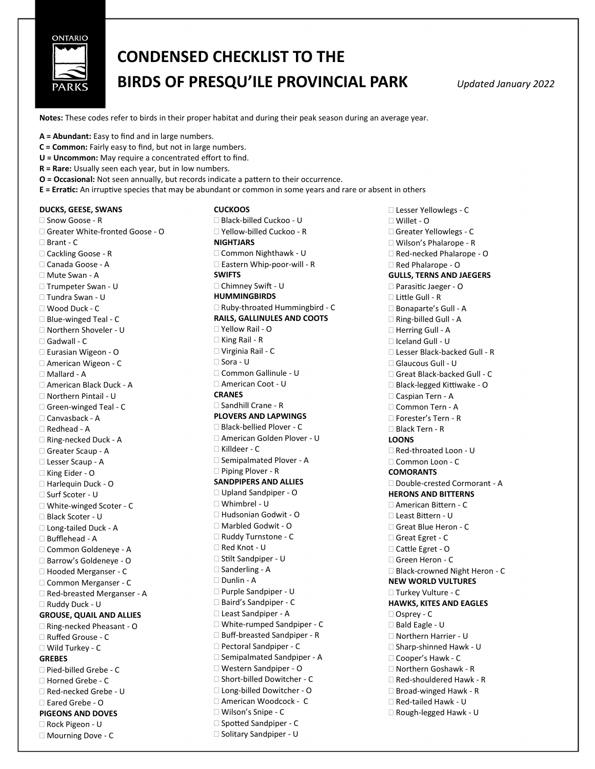

## **CONDENSED CHECKLIST TO THE BIRDS OF PRESQU'ILE PROVINCIAL PARK** *Updated January 2022*

**Notes:** These codes refer to birds in their proper habitat and during their peak season during an average year.

**A = Abundant:** Easy to find and in large numbers.

- **C = Common:** Fairly easy to find, but not in large numbers.
- **U = Uncommon:** May require a concentrated effort to find.
- **R = Rare:** Usually seen each year, but in low numbers.
- **O = Occasional:** Not seen annually, but records indicate a pattern to their occurrence.
- **E = Erratic:** An irruptive species that may be abundant or common in some years and rare or absent in others **CUCKOOS**

## **DUCKS, GEESE, SWANS**

□ Snow Goose - R Greater White-fronted Goose - O □ Brant - C □ Cackling Goose - R Canada Goose - A Mute Swan - A □ Trumpeter Swan - U Tundra Swan - U Wood Duck - C □ Blue-winged Teal - C Northern Shoveler - U □ Gadwall - C Eurasian Wigeon - O American Wigeon - C Mallard - A American Black Duck - A Northern Pintail - U Green-winged Teal - C Canvasback - A Redhead - A □ Ring-necked Duck - A □ Greater Scaup - A Lesser Scaup - A □ King Eider - O □ Harlequin Duck - O Surf Scoter - U □ White-winged Scoter - C Black Scoter - U □ Long-tailed Duck - A □ Bufflehead - A Common Goldeneye - A □ Barrow's Goldeneye - O □ Hooded Merganser - C Common Merganser - C □ Red-breasted Merganser - A Ruddy Duck - U **GROUSE, QUAIL AND ALLIES** □ Ring-necked Pheasant - O Ruffed Grouse - C Wild Turkey - C **GREBES** □ Pied-billed Grebe - C Horned Grebe - C □ Red-necked Grebe - U Eared Grebe - O **PIGEONS AND DOVES** Rock Pigeon - U □ Mourning Dove - C

 Black-billed Cuckoo - U Yellow-billed Cuckoo - R **NIGHTJARS** Common Nighthawk - U □ Eastern Whip-poor-will - R **SWIFTS** Chimney Swift - U **HUMMINGBIRDS** □ Ruby-throated Hummingbird - C **RAILS, GALLINULES AND COOTS** Yellow Rail - O □ King Rail - R Virginia Rail - C □ Sora - U Common Gallinule - U American Coot - U **CRANES** □ Sandhill Crane - R **PLOVERS AND LAPWINGS** □ Black-bellied Plover - C American Golden Plover - U Killdeer - C □ Semipalmated Plover - A □ Piping Plover - R **SANDPIPERS AND ALLIES** □ Upland Sandpiper - O Whimbrel - U Hudsonian Godwit - O □ Marbled Godwit - O □ Ruddy Turnstone - C Red Knot - U □ Stilt Sandpiper - U  $\square$  Sanderling - A Dunlin - A Purple Sandpiper - U □ Baird's Sandpiper - C Least Sandpiper - A □ White-rumped Sandpiper - C □ Buff-breasted Sandpiper - R □ Pectoral Sandpiper - C □ Semipalmated Sandpiper - A Western Sandpiper - O □ Short-billed Dowitcher - C Long-billed Dowitcher - O American Woodcock - C Wilson's Snipe - C □ Spotted Sandpiper - C □ Solitary Sandpiper - U

 Lesser Yellowlegs - C Willet - O Greater Yellowlegs - C Wilson's Phalarope - R □ Red-necked Phalarope - O □ Red Phalarope - O **GULLS, TERNS AND JAEGERS** □ Parasitic Jaeger - O Little Gull - R □ Bonaparte's Gull - A □ Ring-billed Gull - A □ Herring Gull - A Iceland Gull - U Lesser Black-backed Gull - R Glaucous Gull - U □ Great Black-backed Gull - C Black-legged Kittiwake - O Caspian Tern - A □ Common Tern - A □ Forester's Tern - R Black Tern - R **LOONS** □ Red-throated Loon - U □ Common Loon - C **COMORANTS** □ Double-crested Cormorant - A **HERONS AND BITTERNS** American Bittern - C Least Bittern - U Great Blue Heron - C Great Egret - C Cattle Egret - O Green Heron - C □ Black-crowned Night Heron - C **NEW WORLD VULTURES** Turkey Vulture - C **HAWKS, KITES AND EAGLES** Osprey - C Bald Eagle - U Northern Harrier - U  $\square$  Sharp-shinned Hawk - U □ Cooper's Hawk - C □ Northern Goshawk - R □ Red-shouldered Hawk - R  $\Box$  Broad-winged Hawk - R □ Red-tailed Hawk - U  $\Box$  Rough-legged Hawk - U